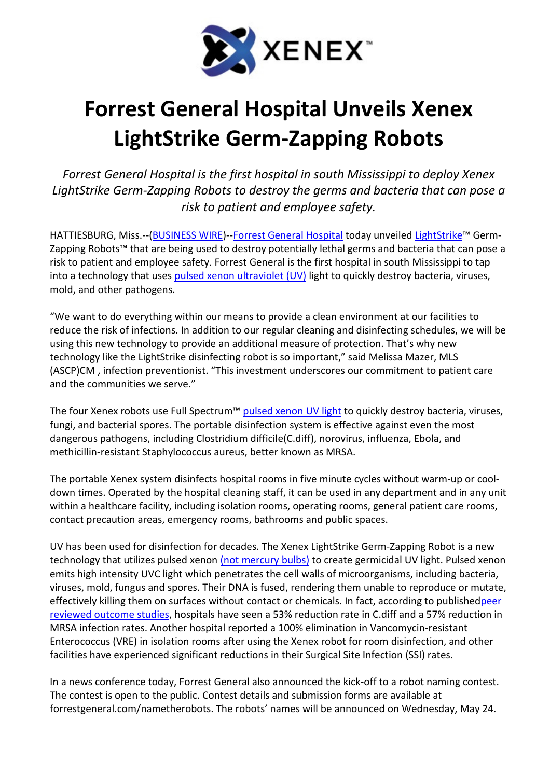

## Forrest General Hospital Unveils Xenex LightStrike Germ-Zapping Robots

Forrest General Hospital is the first hospital in south Mississippi to deploy Xenex LightStrike Germ-Zapping Robots to destroy the germs and bacteria that can pose a risk to patient and employee safety.

HATTIESBURG, Miss.--(BUSINESS WIRE)--Forrest General Hospital today unveiled LightStrike™ Germ-Zapping Robots™ that are being used to destroy potentially lethal germs and bacteria that can pose a risk to patient and employee safety. Forrest General is the first hospital in south Mississippi to tap into a technology that uses pulsed xenon ultraviolet (UV) light to quickly destroy bacteria, viruses, mold, and other pathogens.

"We want to do everything within our means to provide a clean environment at our facilities to reduce the risk of infections. In addition to our regular cleaning and disinfecting schedules, we will be using this new technology to provide an additional measure of protection. That's why new technology like the LightStrike disinfecting robot is so important," said Melissa Mazer, MLS (ASCP)CM , infection preventionist. "This investment underscores our commitment to patient care and the communities we serve."

The four Xenex robots use Full Spectrum™ pulsed xenon UV light to quickly destroy bacteria, viruses, fungi, and bacterial spores. The portable disinfection system is effective against even the most dangerous pathogens, including Clostridium difficile(C.diff), norovirus, influenza, Ebola, and methicillin-resistant Staphylococcus aureus, better known as MRSA.

The portable Xenex system disinfects hospital rooms in five minute cycles without warm-up or cooldown times. Operated by the hospital cleaning staff, it can be used in any department and in any unit within a healthcare facility, including isolation rooms, operating rooms, general patient care rooms, contact precaution areas, emergency rooms, bathrooms and public spaces.

UV has been used for disinfection for decades. The Xenex LightStrike Germ-Zapping Robot is a new technology that utilizes pulsed xenon (not mercury bulbs) to create germicidal UV light. Pulsed xenon emits high intensity UVC light which penetrates the cell walls of microorganisms, including bacteria, viruses, mold, fungus and spores. Their DNA is fused, rendering them unable to reproduce or mutate, effectively killing them on surfaces without contact or chemicals. In fact, according to publishedpeer reviewed outcome studies, hospitals have seen a 53% reduction rate in C.diff and a 57% reduction in MRSA infection rates. Another hospital reported a 100% elimination in Vancomycin-resistant Enterococcus (VRE) in isolation rooms after using the Xenex robot for room disinfection, and other facilities have experienced significant reductions in their Surgical Site Infection (SSI) rates.

In a news conference today, Forrest General also announced the kick-off to a robot naming contest. The contest is open to the public. Contest details and submission forms are available at forrestgeneral.com/nametherobots. The robots' names will be announced on Wednesday, May 24.